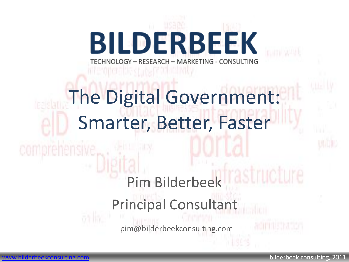## **BILDERBEEK** TECHNOLOGY - RESEARCH - MARKETING - CONSULTING

## The Digital Government: Smarter, Better, Faster

## Pim Bilderbeek Principal Consultant

pim@bilderbeekconsulting.com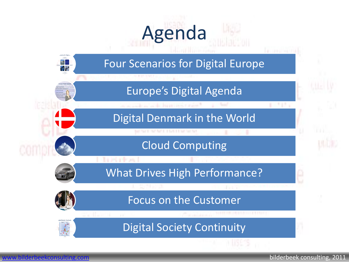# Agenda

**WERE SIMPLY LO** 

### Four Scenarios for Digital Europe

### Europe's Digital Agenda

Digital Denmark in the World

### Cloud Computing

APENANT TRATEMARK

What Drives High Performance?

Focus on the Customer

Digital Society Continuity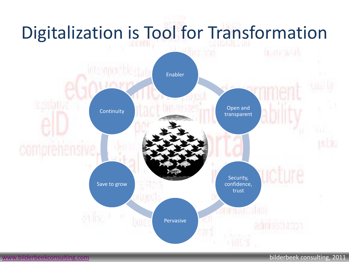### Digitalization is Tool for Transformation tura tan Enabler Open and **Continuity** transparent icture Security, Save to grow confidence, trust **SHIP WARDER WARD** Pervasive

### [www.bilderbeekconsulting.com](http://www.bilderbeekconsulting.com/) bilderbeek consulting, 2011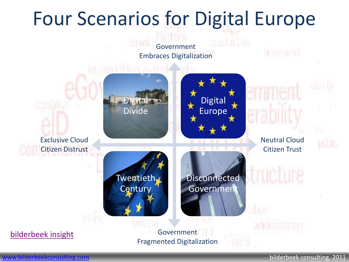### Four Scenarios for Digital Europe



Fragmented Digitalization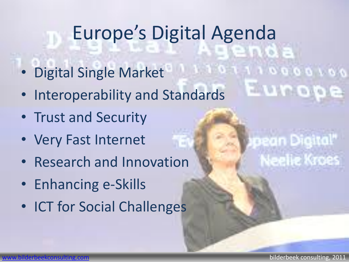## Europe's Digital Agenda

- Digital Single Market
- Interoperability and Standards
- Trust and Security
- Very Fast Internet
- Research and Innovation
- Enhancing e-Skills
- ICT for Social Challenges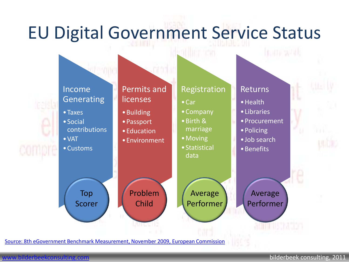### EU Digital Government Service Status



[Source: 8th eGovernment](8th eGovernment Benchmark Measurement, November 2009, European Commission) [Benchmark](8th eGovernment Benchmark Measurement, November 2009, European Commission) [Measurement, November 2009, European](8th eGovernment Benchmark Measurement, November 2009, European Commission) [Commission](8th eGovernment Benchmark Measurement, November 2009, European Commission)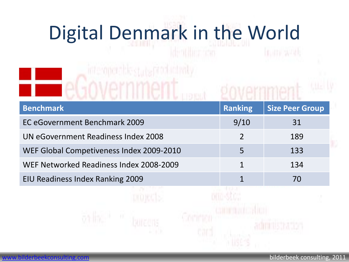# Digital Denmark in the World

interment biostute productivity

eGovernment

| <b>Benchmark</b>                         | <b>Ranking</b> | <b>Size Peer Group</b> |
|------------------------------------------|----------------|------------------------|
| EC eGovernment Benchmark 2009            | 9/10           | 31                     |
| UN eGovernment Readiness Index 2008      |                | 189                    |
| WEF Global Competiveness Index 2009-2010 | 5              | 133                    |
| WEF Networked Readiness Index 2008-2009  | 1              | 134                    |
| EIU Readiness Index Ranking 2009         |                | 70                     |

om sto: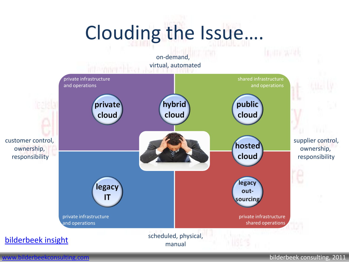## Clouding the Issue….



[www.bilderbeekconsulting.com](http://www.bilderbeekconsulting.com/) bilderbeek consulting, 2011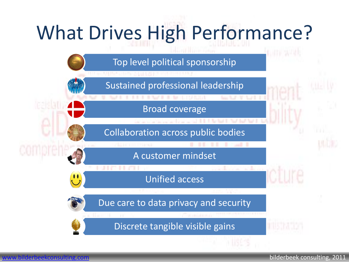## What Drives High Performance?

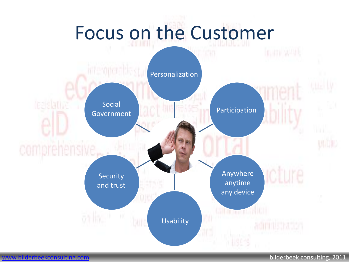# Focus on the Customer

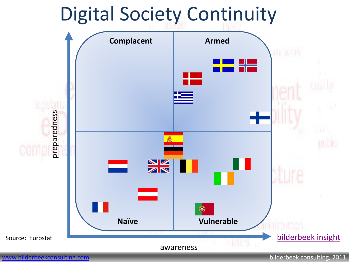### Digital Society Continuity



[www.bilderbeekconsulting.com](http://www.bilderbeekconsulting.com/) bilderbeek consulting, 2011